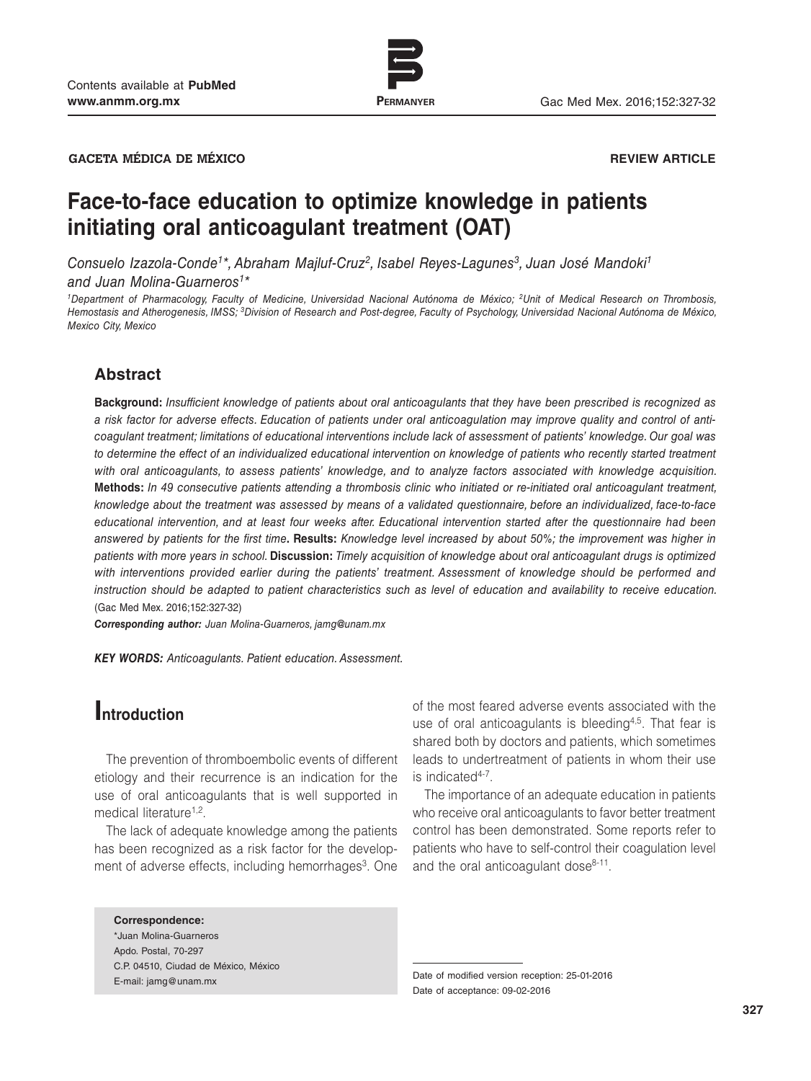

www.permanyer.com

**GACETA MÉDICA DE MÉXICO REVIEW ARTICLE**

# **Face-to-face education to optimize knowledge in patients initiating oral anticoagulant treatment (OAT)**

*Consuelo Izazola-Conde1\*, Abraham Majluf-Cruz2, Isabel Reyes-Lagunes3, Juan José Mandoki1 and Juan Molina-Guarneros1\**

*1Department of Pharmacology, Faculty of Medicine, Universidad Nacional Autónoma de México; 2Unit of Medical Research on Thrombosis, Hemostasis and Atherogenesis, IMSS; 3Division of Research and Post-degree, Faculty of Psychology, Universidad Nacional Autónoma de México, Mexico City, Mexico*

## **Abstract**

**Background:** *Insufficient knowledge of patients about oral anticoagulants that they have been prescribed is recognized as a risk factor for adverse effects. Education of patients under oral anticoagulation may improve quality and control of anticoagulant treatment; limitations of educational interventions include lack of assessment of patients' knowledge. Our goal was*  to determine the effect of an individualized educational intervention on knowledge of patients who recently started treatment *with oral anticoagulants, to assess patients' knowledge, and to analyze factors associated with knowledge acquisition.*  **Methods:** *In 49 consecutive patients attending a thrombosis clinic who initiated or re-initiated oral anticoagulant treatment, knowledge about the treatment was assessed by means of a validated questionnaire, before an individualized, face-to-face educational intervention, and at least four weeks after. Educational intervention started after the questionnaire had been answered by patients for the first time***. Results:** *Knowledge level increased by about 50%; the improvement was higher in patients with more years in school.* **Discussion:** *Timely acquisition of knowledge about oral anticoagulant drugs is optimized*  with interventions provided earlier during the patients' treatment. Assessment of knowledge should be performed and *instruction should be adapted to patient characteristics such as level of education and availability to receive education.*  (Gac Med Mex. 2016;152:327-32)

*Corresponding author: Juan Molina-Guarneros, jamg@unam.mx*

*KEY WORDS: Anticoagulants. Patient education. Assessment.*

## **Introduction**

The prevention of thromboembolic events of different etiology and their recurrence is an indication for the use of oral anticoagulants that is well supported in medical literature<sup>1,2</sup>.

The lack of adequate knowledge among the patients has been recognized as a risk factor for the development of adverse effects, including hemorrhages<sup>3</sup>. One

#### **Correspondence:** \*Juan Molina-Guarneros

Apdo. Postal, 70-297 C.P. 04510, Ciudad de México, México

of the most feared adverse events associated with the use of oral anticoagulants is bleeding<sup>4,5</sup>. That fear is shared both by doctors and patients, which sometimes leads to undertreatment of patients in whom their use is indicated<sup>4-7</sup>.

The importance of an adequate education in patients who receive oral anticoagulants to favor better treatment control has been demonstrated. Some reports refer to patients who have to self-control their coagulation level and the oral anticoagulant dose $8-11$ .

E-mail: jamg@unam.mx Date of modified version reception: 25-01-2016 Date of acceptance: 09-02-2016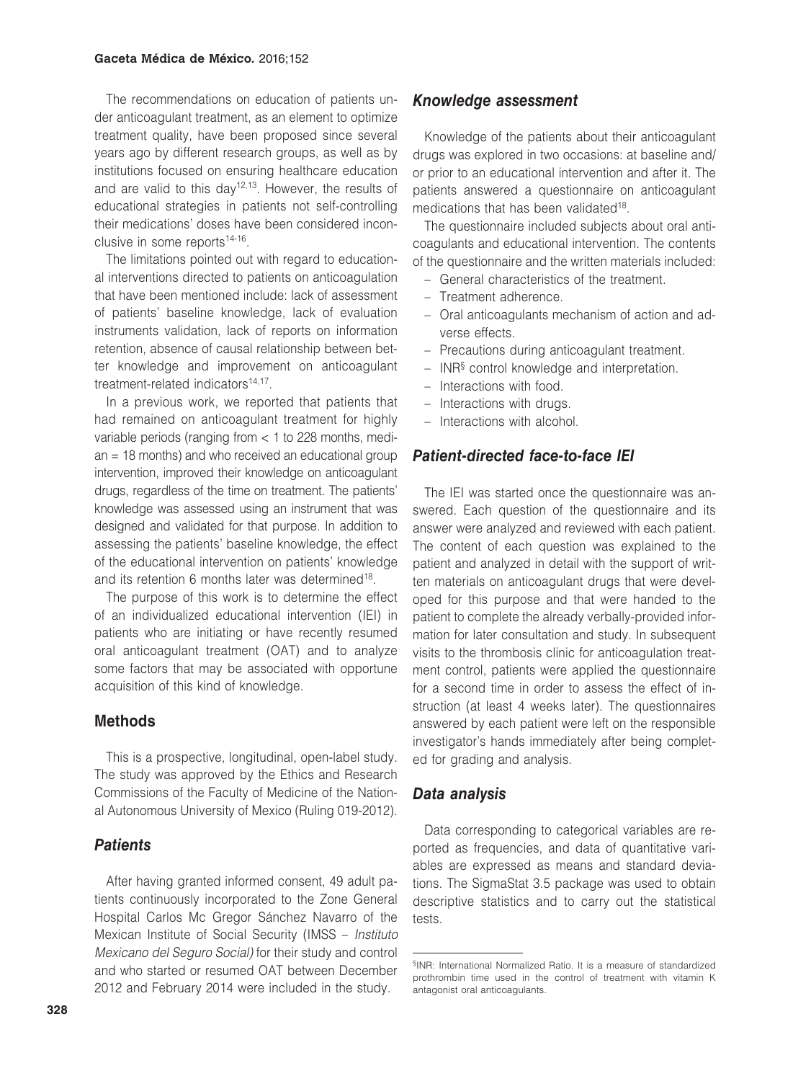The recommendations on education of patients under anticoagulant treatment, as an element to optimize treatment quality, have been proposed since several years ago by different research groups, as well as by institutions focused on ensuring healthcare education and are valid to this day<sup>12,13</sup>. However, the results of educational strategies in patients not self-controlling their medications' doses have been considered inconclusive in some reports<sup>14-16</sup>.

The limitations pointed out with regard to educational interventions directed to patients on anticoagulation that have been mentioned include: lack of assessment of patients' baseline knowledge, lack of evaluation instruments validation, lack of reports on information retention, absence of causal relationship between better knowledge and improvement on anticoagulant treatment-related indicators<sup>14,17</sup>.

In a previous work, we reported that patients that had remained on anticoagulant treatment for highly variable periods (ranging from < 1 to 228 months, median = 18 months) and who received an educational group intervention, improved their knowledge on anticoagulant drugs, regardless of the time on treatment. The patients' knowledge was assessed using an instrument that was designed and validated for that purpose. In addition to assessing the patients' baseline knowledge, the effect of the educational intervention on patients' knowledge and its retention 6 months later was determined<sup>18</sup>.

The purpose of this work is to determine the effect of an individualized educational intervention (IEI) in patients who are initiating or have recently resumed oral anticoagulant treatment (OAT) and to analyze some factors that may be associated with opportune acquisition of this kind of knowledge.

## **Methods**

This is a prospective, longitudinal, open-label study. The study was approved by the Ethics and Research Commissions of the Faculty of Medicine of the National Autonomous University of Mexico (Ruling 019-2012).

## *Patients*

After having granted informed consent, 49 adult patients continuously incorporated to the Zone General Hospital Carlos Mc Gregor Sánchez Navarro of the Mexican Institute of Social Security (IMSS – *Instituto Mexicano del Seguro Social)* for their study and control and who started or resumed OAT between December 2012 and February 2014 were included in the study.

## *Knowledge assessment*

Knowledge of the patients about their anticoagulant drugs was explored in two occasions: at baseline and/ or prior to an educational intervention and after it. The patients answered a questionnaire on anticoagulant medications that has been validated<sup>18</sup>.

The questionnaire included subjects about oral anticoagulants and educational intervention. The contents of the questionnaire and the written materials included:

- General characteristics of the treatment.
- Treatment adherence.
- Oral anticoagulants mechanism of action and adverse effects.
- Precautions during anticoagulant treatment.
- INR§ control knowledge and interpretation.
- Interactions with food.
- Interactions with drugs.
- Interactions with alcohol.

## *Patient-directed face-to-face IEI*

The IEI was started once the questionnaire was answered. Each question of the questionnaire and its answer were analyzed and reviewed with each patient. The content of each question was explained to the patient and analyzed in detail with the support of written materials on anticoagulant drugs that were developed for this purpose and that were handed to the patient to complete the already verbally-provided information for later consultation and study. In subsequent visits to the thrombosis clinic for anticoagulation treatment control, patients were applied the questionnaire for a second time in order to assess the effect of instruction (at least 4 weeks later). The questionnaires answered by each patient were left on the responsible investigator's hands immediately after being completed for grading and analysis.

## *Data analysis*

Data corresponding to categorical variables are reported as frequencies, and data of quantitative variables are expressed as means and standard deviations. The SigmaStat 3.5 package was used to obtain descriptive statistics and to carry out the statistical tests.

<sup>§</sup>INR: International Normalized Ratio. It is a measure of standardized prothrombin time used in the control of treatment with vitamin K antagonist oral anticoagulants.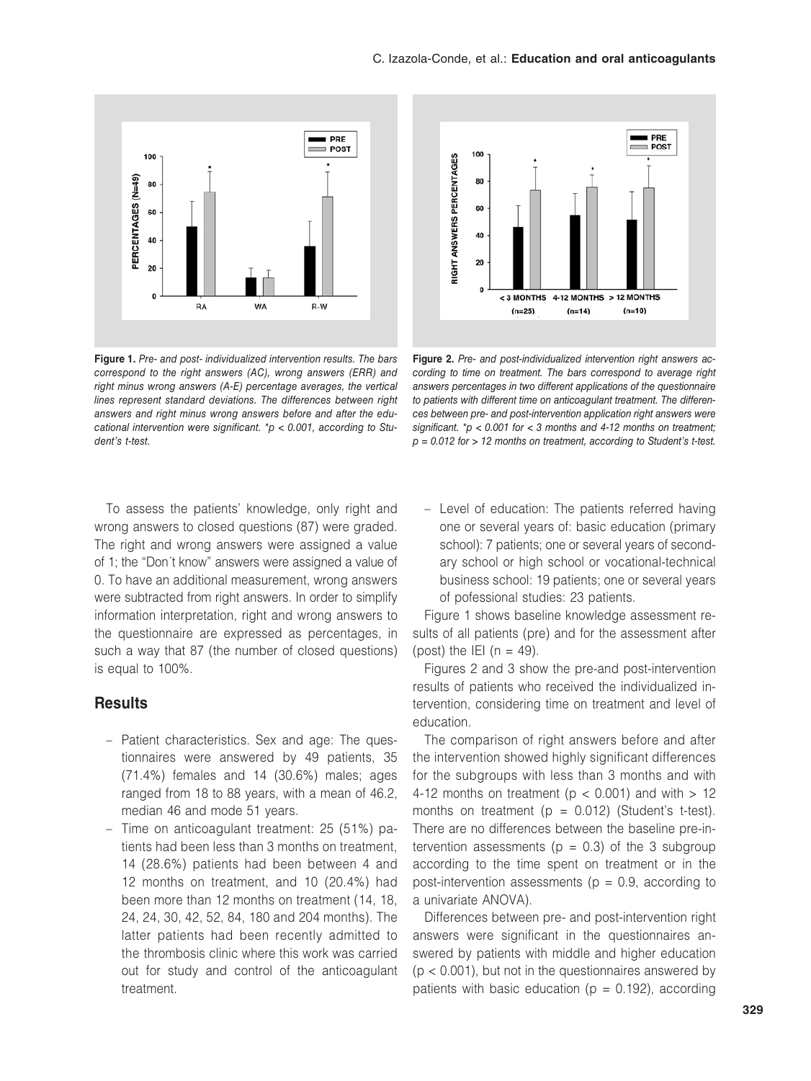

**Figure 1.** *Pre- and post- individualized intervention results. The bars correspond to the right answers (AC), wrong answers (ERR) and right minus wrong answers (A-E) percentage averages, the vertical lines represent standard deviations. The differences between right answers and right minus wrong answers before and after the educational intervention were significant. \*p < 0.001, according to Student's t-test.* 

To assess the patients' knowledge, only right and wrong answers to closed questions (87) were graded. The right and wrong answers were assigned a value of 1; the "Don´t know" answers were assigned a value of 0. To have an additional measurement, wrong answers were subtracted from right answers. In order to simplify information interpretation, right and wrong answers to the questionnaire are expressed as percentages, in such a way that 87 (the number of closed questions) is equal to 100%.

## **Results**

- Patient characteristics. Sex and age: The questionnaires were answered by 49 patients, 35 (71.4%) females and 14 (30.6%) males; ages ranged from 18 to 88 years, with a mean of 46.2, median 46 and mode 51 years.
- Time on anticoagulant treatment: 25 (51%) patients had been less than 3 months on treatment, 14 (28.6%) patients had been between 4 and 12 months on treatment, and 10 (20.4%) had been more than 12 months on treatment (14, 18, 24, 24, 30, 42, 52, 84, 180 and 204 months). The latter patients had been recently admitted to the thrombosis clinic where this work was carried out for study and control of the anticoagulant treatment.



**Figure 2.** *Pre- and post-individualized intervention right answers according to time on treatment. The bars correspond to average right answers percentages in two different applications of the questionnaire to patients with different time on anticoagulant treatment. The differences between pre- and post-intervention application right answers were significant. \*p < 0.001 for < 3 months and 4-12 months on treatment; p = 0.012 for > 12 months on treatment, according to Student's t-test.* 

– Level of education: The patients referred having one or several years of: basic education (primary school): 7 patients; one or several years of secondary school or high school or vocational-technical business school: 19 patients; one or several years of pofessional studies: 23 patients.

Figure 1 shows baseline knowledge assessment results of all patients (pre) and for the assessment after (post) the IEI ( $n = 49$ ).

Figures 2 and 3 show the pre-and post-intervention results of patients who received the individualized intervention, considering time on treatment and level of education.

The comparison of right answers before and after the intervention showed highly significant differences for the subgroups with less than 3 months and with 4-12 months on treatment ( $p < 0.001$ ) and with  $> 12$ months on treatment ( $p = 0.012$ ) (Student's t-test). There are no differences between the baseline pre-intervention assessments ( $p = 0.3$ ) of the 3 subgroup according to the time spent on treatment or in the post-intervention assessments ( $p = 0.9$ , according to a univariate ANOVA).

Differences between pre- and post-intervention right answers were significant in the questionnaires answered by patients with middle and higher education  $(p < 0.001)$ , but not in the questionnaires answered by patients with basic education ( $p = 0.192$ ), according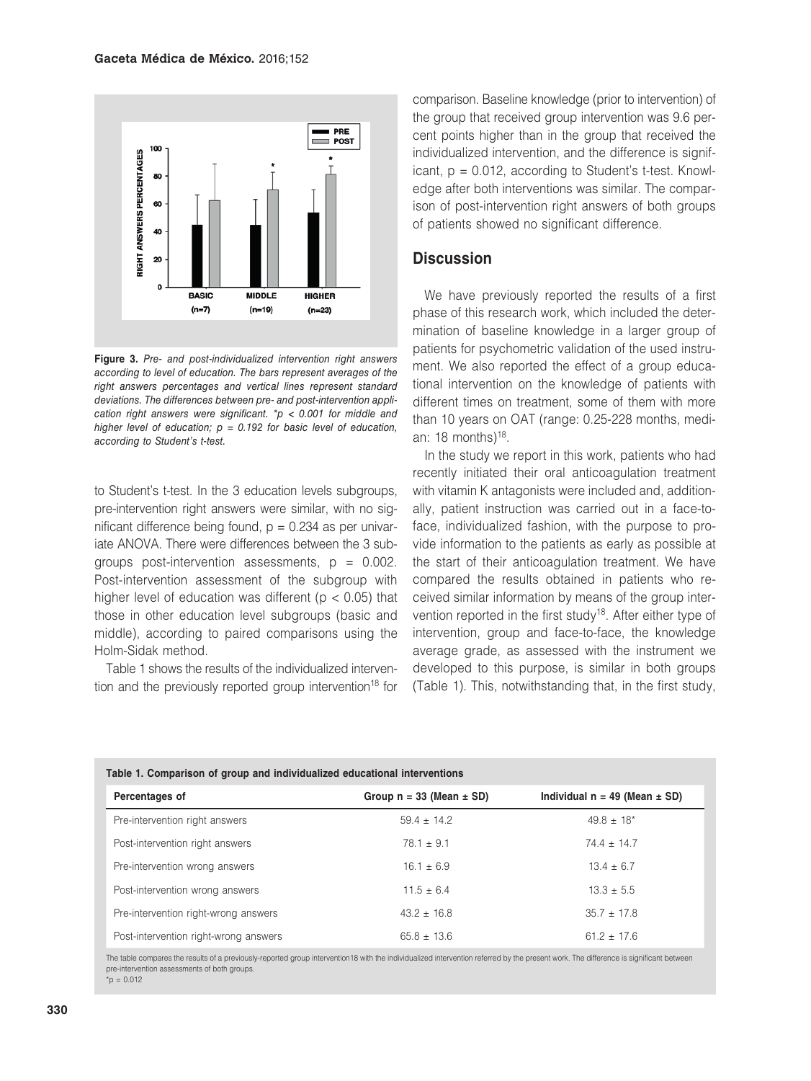

**Figure 3.** *Pre- and post-individualized intervention right answers according to level of education. The bars represent averages of the right answers percentages and vertical lines represent standard deviations. The differences between pre- and post-intervention application right answers were significant. \*p < 0.001 for middle and higher level of education; p = 0.192 for basic level of education, according to Student's t-test.*

to Student's t-test. In the 3 education levels subgroups, pre-intervention right answers were similar, with no significant difference being found,  $p = 0.234$  as per univariate ANOVA. There were differences between the 3 subgroups post-intervention assessments,  $p = 0.002$ . Post-intervention assessment of the subgroup with higher level of education was different ( $p < 0.05$ ) that those in other education level subgroups (basic and middle), according to paired comparisons using the Holm-Sidak method.

Table 1 shows the results of the individualized intervention and the previously reported group intervention<sup>18</sup> for

comparison. Baseline knowledge (prior to intervention) of the group that received group intervention was 9.6 percent points higher than in the group that received the individualized intervention, and the difference is significant,  $p = 0.012$ , according to Student's t-test. Knowledge after both interventions was similar. The comparison of post-intervention right answers of both groups of patients showed no significant difference.

#### **Discussion**

We have previously reported the results of a first phase of this research work, which included the determination of baseline knowledge in a larger group of patients for psychometric validation of the used instrument. We also reported the effect of a group educational intervention on the knowledge of patients with different times on treatment, some of them with more than 10 years on OAT (range: 0.25-228 months, median: 18 months) $18$ .

In the study we report in this work, patients who had recently initiated their oral anticoagulation treatment with vitamin K antagonists were included and, additionally, patient instruction was carried out in a face-toface, individualized fashion, with the purpose to provide information to the patients as early as possible at the start of their anticoagulation treatment. We have compared the results obtained in patients who received similar information by means of the group intervention reported in the first study<sup>18</sup>. After either type of intervention, group and face-to-face, the knowledge average grade, as assessed with the instrument we developed to this purpose, is similar in both groups (Table 1). This, notwithstanding that, in the first study,

| Table 1. Comparison of group and individualized educational interventions |                                |                                     |
|---------------------------------------------------------------------------|--------------------------------|-------------------------------------|
| Percentages of                                                            | Group $n = 33$ (Mean $\pm$ SD) | Individual $n = 49$ (Mean $\pm$ SD) |
| Pre-intervention right answers                                            | $59.4 \pm 14.2$                | $49.8 \pm 18^*$                     |
| Post-intervention right answers                                           | $78.1 \pm 9.1$                 | $74.4 \pm 14.7$                     |
| Pre-intervention wrong answers                                            | $16.1 \pm 6.9$                 | $13.4 \pm 6.7$                      |
| Post-intervention wrong answers                                           | $11.5 \pm 6.4$                 | $13.3 \pm 5.5$                      |
| Pre-intervention right-wrong answers                                      | $43.2 \pm 16.8$                | $35.7 \pm 17.8$                     |
| Post-intervention right-wrong answers                                     | $65.8 \pm 13.6$                | $61.2 \pm 17.6$                     |

The table compares the results of a previously-reported group intervention18 with the individualized intervention referred by the present work. The difference is significant between pre-intervention assessments of both groups.  $*_{p} = 0.012$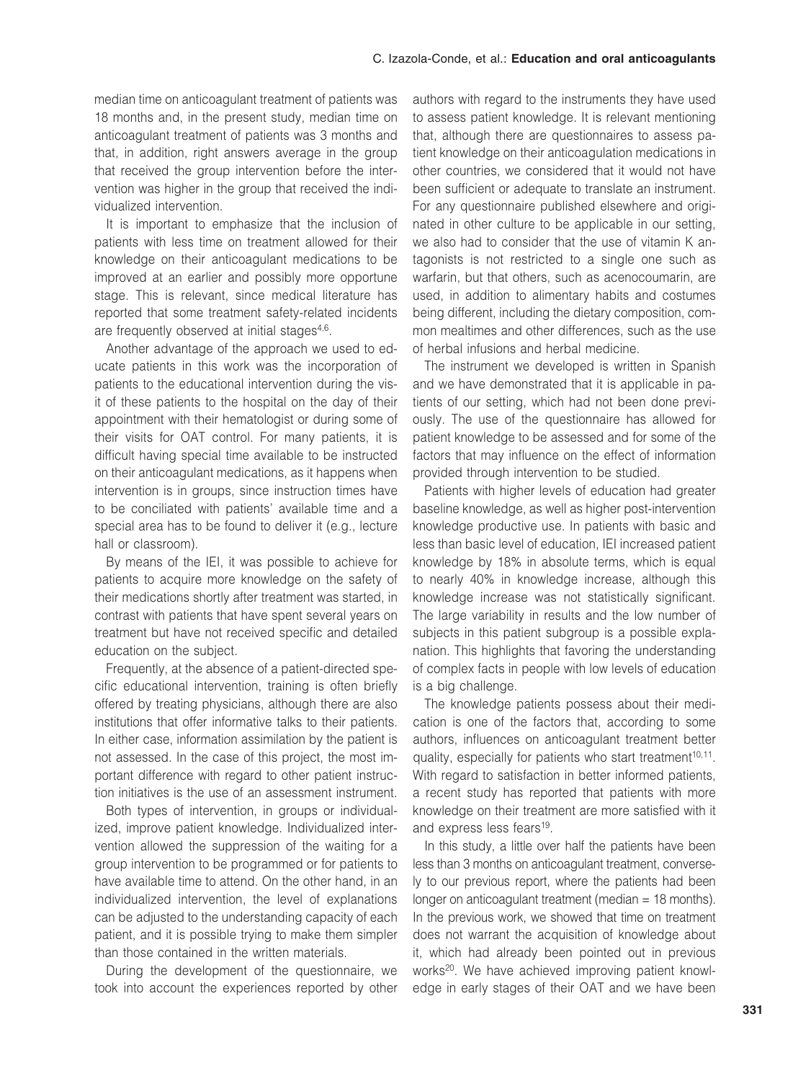median time on anticoagulant treatment of patients was 18 months and, in the present study, median time on anticoagulant treatment of patients was 3 months and that, in addition, right answers average in the group that received the group intervention before the intervention was higher in the group that received the individualized intervention.

It is important to emphasize that the inclusion of patients with less time on treatment allowed for their knowledge on their anticoagulant medications to be improved at an earlier and possibly more opportune stage. This is relevant, since medical literature has reported that some treatment safety-related incidents are frequently observed at initial stages<sup>4,6</sup>.

Another advantage of the approach we used to educate patients in this work was the incorporation of patients to the educational intervention during the visit of these patients to the hospital on the day of their appointment with their hematologist or during some of their visits for OAT control. For many patients, it is difficult having special time available to be instructed on their anticoagulant medications, as it happens when intervention is in groups, since instruction times have to be conciliated with patients' available time and a special area has to be found to deliver it (e.g., lecture hall or classroom).

By means of the IEI, it was possible to achieve for patients to acquire more knowledge on the safety of their medications shortly after treatment was started, in contrast with patients that have spent several years on treatment but have not received specific and detailed education on the subject.

Frequently, at the absence of a patient-directed specific educational intervention, training is often briefly offered by treating physicians, although there are also institutions that offer informative talks to their patients. In either case, information assimilation by the patient is not assessed. In the case of this project, the most important difference with regard to other patient instruction initiatives is the use of an assessment instrument.

Both types of intervention, in groups or individualized, improve patient knowledge. Individualized intervention allowed the suppression of the waiting for a group intervention to be programmed or for patients to have available time to attend. On the other hand, in an individualized intervention, the level of explanations can be adjusted to the understanding capacity of each patient, and it is possible trying to make them simpler than those contained in the written materials.

During the development of the questionnaire, we took into account the experiences reported by other

authors with regard to the instruments they have used to assess patient knowledge. It is relevant mentioning that, although there are questionnaires to assess patient knowledge on their anticoagulation medications in other countries, we considered that it would not have been sufficient or adequate to translate an instrument. For any questionnaire published elsewhere and originated in other culture to be applicable in our setting, we also had to consider that the use of vitamin K antagonists is not restricted to a single one such as warfarin, but that others, such as acenocoumarin, are used, in addition to alimentary habits and costumes being different, including the dietary composition, common mealtimes and other differences, such as the use of herbal infusions and herbal medicine.

The instrument we developed is written in Spanish and we have demonstrated that it is applicable in patients of our setting, which had not been done previously. The use of the questionnaire has allowed for patient knowledge to be assessed and for some of the factors that may influence on the effect of information provided through intervention to be studied.

Patients with higher levels of education had greater baseline knowledge, as well as higher post-intervention knowledge productive use. In patients with basic and less than basic level of education, IEI increased patient knowledge by 18% in absolute terms, which is equal to nearly 40% in knowledge increase, although this knowledge increase was not statistically significant. The large variability in results and the low number of subjects in this patient subgroup is a possible explanation. This highlights that favoring the understanding of complex facts in people with low levels of education is a big challenge.

The knowledge patients possess about their medication is one of the factors that, according to some authors, influences on anticoagulant treatment better quality, especially for patients who start treatment<sup>10,11</sup>. With regard to satisfaction in better informed patients, a recent study has reported that patients with more knowledge on their treatment are more satisfied with it and express less fears<sup>19</sup>.

In this study, a little over half the patients have been less than 3 months on anticoagulant treatment, conversely to our previous report, where the patients had been longer on anticoagulant treatment (median = 18 months). In the previous work, we showed that time on treatment does not warrant the acquisition of knowledge about it, which had already been pointed out in previous works<sup>20</sup>. We have achieved improving patient knowledge in early stages of their OAT and we have been